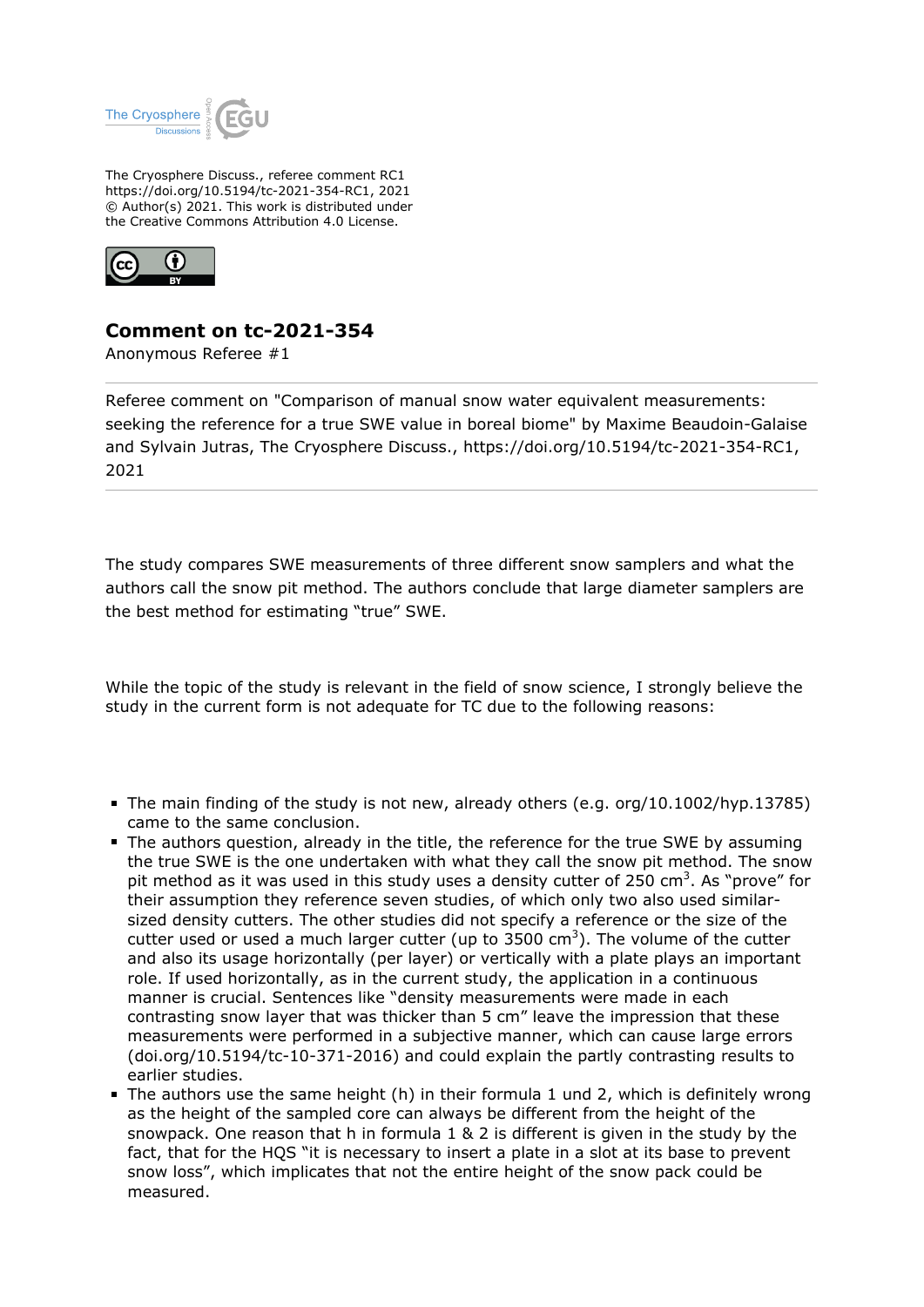

The Cryosphere Discuss., referee comment RC1 https://doi.org/10.5194/tc-2021-354-RC1, 2021 © Author(s) 2021. This work is distributed under the Creative Commons Attribution 4.0 License.



## **Comment on tc-2021-354**

Anonymous Referee #1

Referee comment on "Comparison of manual snow water equivalent measurements: seeking the reference for a true SWE value in boreal biome" by Maxime Beaudoin-Galaise and Sylvain Jutras, The Cryosphere Discuss., https://doi.org/10.5194/tc-2021-354-RC1, 2021

The study compares SWE measurements of three different snow samplers and what the authors call the snow pit method. The authors conclude that large diameter samplers are the best method for estimating "true" SWE.

While the topic of the study is relevant in the field of snow science, I strongly believe the study in the current form is not adequate for TC due to the following reasons:

- The main finding of the study is not new, already others (e.g. org/10.1002/hyp.13785) came to the same conclusion.
- The authors question, already in the title, the reference for the true SWE by assuming the true SWE is the one undertaken with what they call the snow pit method. The snow pit method as it was used in this study uses a density cutter of 250 cm<sup>3</sup>. As "prove" for their assumption they reference seven studies, of which only two also used similarsized density cutters. The other studies did not specify a reference or the size of the cutter used or used a much larger cutter (up to  $3500 \text{ cm}^3$ ). The volume of the cutter and also its usage horizontally (per layer) or vertically with a plate plays an important role. If used horizontally, as in the current study, the application in a continuous manner is crucial. Sentences like "density measurements were made in each contrasting snow layer that was thicker than 5 cm" leave the impression that these measurements were performed in a subjective manner, which can cause large errors (doi.org/10.5194/tc-10-371-2016) and could explain the partly contrasting results to earlier studies.
- The authors use the same height (h) in their formula 1 und 2, which is definitely wrong as the height of the sampled core can always be different from the height of the snowpack. One reason that h in formula 1 & 2 is different is given in the study by the fact, that for the HQS "it is necessary to insert a plate in a slot at its base to prevent snow loss", which implicates that not the entire height of the snow pack could be measured.